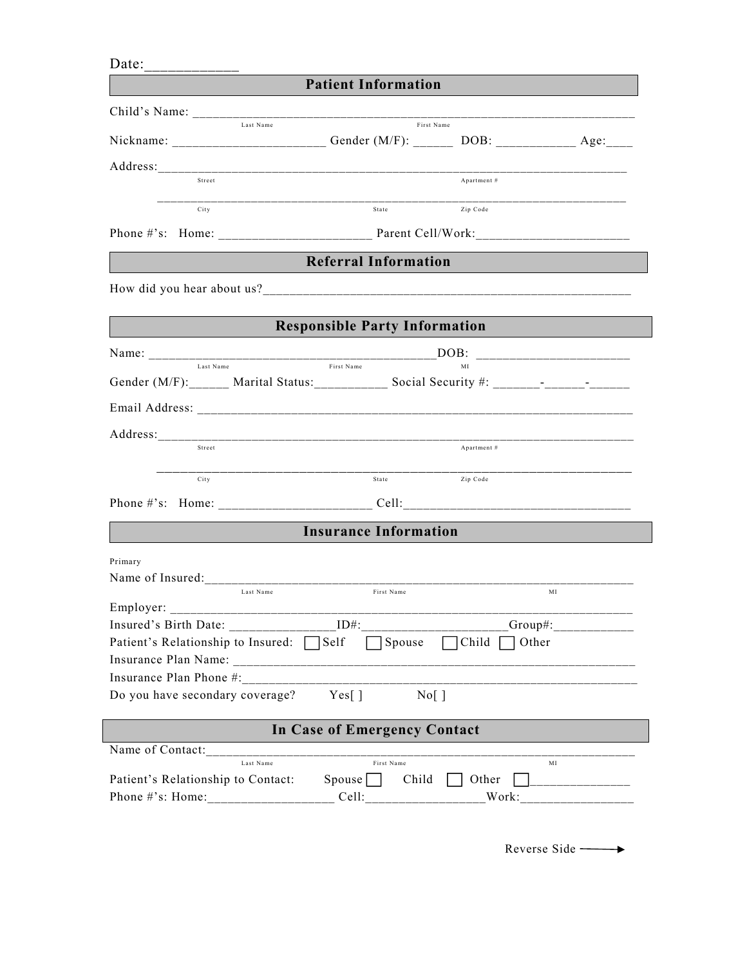| Date:                                                                                       |                                      |              |             |
|---------------------------------------------------------------------------------------------|--------------------------------------|--------------|-------------|
|                                                                                             | <b>Patient Information</b>           |              |             |
|                                                                                             |                                      |              |             |
| Last Name                                                                                   | First Name                           |              |             |
| Nickname: ___________________________Gender (M/F): ________ DOB: ________________Age:______ |                                      |              |             |
|                                                                                             |                                      |              |             |
| Street                                                                                      |                                      | Apartment #  |             |
| City                                                                                        | State Zip Code                       |              |             |
|                                                                                             |                                      |              |             |
|                                                                                             | <b>Referral Information</b>          |              |             |
|                                                                                             |                                      |              |             |
|                                                                                             |                                      |              |             |
|                                                                                             | <b>Responsible Party Information</b> |              |             |
|                                                                                             |                                      |              |             |
| Last Name                                                                                   | First Name                           | MI           |             |
|                                                                                             |                                      |              |             |
|                                                                                             |                                      |              |             |
|                                                                                             |                                      |              |             |
| Street                                                                                      |                                      | Apartment #  |             |
| City                                                                                        | State                                | Zip Code     |             |
|                                                                                             |                                      |              |             |
|                                                                                             |                                      |              |             |
|                                                                                             | <b>Insurance Information</b>         |              |             |
| Primary                                                                                     |                                      |              |             |
| Name of Insured:                                                                            |                                      |              |             |
| Last Name<br>Employer:                                                                      | First Name                           |              | MI          |
| Insured's Birth Date:                                                                       | $ID#$ :                              |              | $Group\#$ : |
| Patient's Relationship to Insured: Self                                                     | Spouse                               | $\Box$ Child | Other       |
|                                                                                             |                                      |              |             |
| Insurance Plan Phone #:                                                                     |                                      |              |             |
| Do you have secondary coverage?                                                             | $Nof$ ]<br>Yes[ ]                    |              |             |
|                                                                                             | <b>In Case of Emergency Contact</b>  |              |             |
| Name of Contact:                                                                            |                                      |              |             |
| Last Name                                                                                   | First Name                           |              | MI          |
| Patient's Relationship to Contact:                                                          | Spouse    <br>Child                  | Other        |             |
|                                                                                             |                                      | Work:        |             |

Reverse Side ––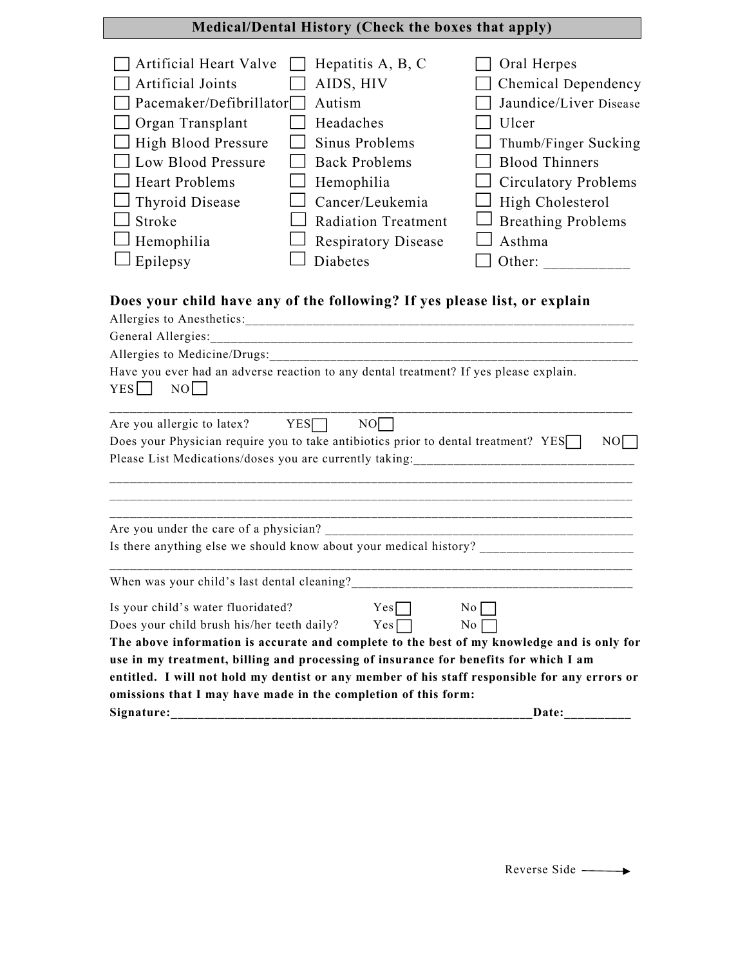# **Medical/Dental History (Check the boxes that apply)**

| <b>Artificial Heart Valve</b><br>Artificial Joints<br>Pacemaker/Defibrillator<br>Organ Transplant<br>High Blood Pressure<br>Low Blood Pressure<br><b>Heart Problems</b><br>Thyroid Disease<br>Stroke<br>Hemophilia<br>Epilepsy                                                                                                                                                                                                                                                      | Hepatitis A, B, C<br>AIDS, HIV<br>Autism<br>Headaches<br>Sinus Problems<br><b>Back Problems</b><br>Hemophilia<br>Cancer/Leukemia<br><b>Radiation Treatment</b><br><b>Respiratory Disease</b><br>Diabetes                                                                              | Oral Herpes<br>Chemical Dependency<br>Jaundice/Liver Disease<br>Ulcer<br>Thumb/Finger Sucking<br><b>Blood Thinners</b><br><b>Circulatory Problems</b><br>High Cholesterol<br><b>Breathing Problems</b><br>Asthma<br>Other: |  |  |  |
|-------------------------------------------------------------------------------------------------------------------------------------------------------------------------------------------------------------------------------------------------------------------------------------------------------------------------------------------------------------------------------------------------------------------------------------------------------------------------------------|---------------------------------------------------------------------------------------------------------------------------------------------------------------------------------------------------------------------------------------------------------------------------------------|----------------------------------------------------------------------------------------------------------------------------------------------------------------------------------------------------------------------------|--|--|--|
| Does your child have any of the following? If yes please list, or explain<br>Have you ever had an adverse reaction to any dental treatment? If yes please explain.<br>YES<br>N <sub>O</sub><br>YES<br>NO<br>Are you allergic to latex?<br>Does your Physician require you to take antibiotics prior to dental treatment? YES<br>NO<br>Please List Medications/doses you are currently taking:<br><u> 1989 - Johann John Harry, mars ar breist fan de Amerikaanske kommunister (</u> |                                                                                                                                                                                                                                                                                       |                                                                                                                                                                                                                            |  |  |  |
| Are you under the care of a physician?<br>When was your child's last dental cleaning?<br>Is your child's water fluoridated?<br>Does your child brush his/her teeth daily?                                                                                                                                                                                                                                                                                                           | Is there anything else we should know about your medical history?<br>Yes<br>Yes <sub>l</sub><br>use in my treatment, billing and processing of insurance for benefits for which I am<br>entitled. I will not hold my dentist or any member of his staff responsible for any errors or | No<br>N0<br>The above information is accurate and complete to the best of my knowledge and is only for                                                                                                                     |  |  |  |
| omissions that I may have made in the completion of this form:<br>Signature:<br>Date:                                                                                                                                                                                                                                                                                                                                                                                               |                                                                                                                                                                                                                                                                                       |                                                                                                                                                                                                                            |  |  |  |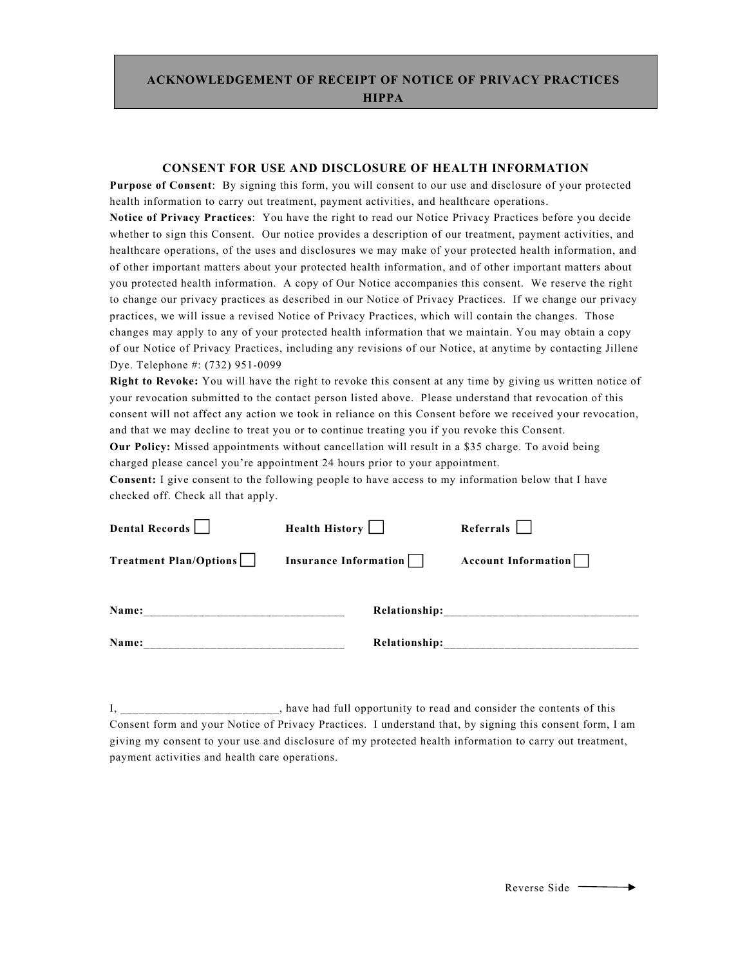## **ACKNOWLEDGEMENT OF RECEIPT OF NOTICE OF PRIVACY PRACTICES HIPPA**

#### **CONSENT FOR USE AND DISCLOSURE OF HEALTH INFORMATION**

**Purpose of Consent**: By signing this form, you will consent to our use and disclosure of your protected health information to carry out treatment, payment activities, and healthcare operations.

**Notice of Privacy Practices**: You have the right to read our Notice Privacy Practices before you decide whether to sign this Consent. Our notice provides a description of our treatment, payment activities, and healthcare operations, of the uses and disclosures we may make of your protected health information, and of other important matters about your protected health information, and of other important matters about you protected health information. A copy of Our Notice accompanies this consent. We reserve the right to change our privacy practices as described in our Notice of Privacy Practices. If we change our privacy practices, we will issue a revised Notice of Privacy Practices, which will contain the changes. Those changes may apply to any of your protected health information that we maintain. You may obtain a copy of our Notice of Privacy Practices, including any revisions of our Notice, at anytime by contacting Jillene Dye. Telephone #: (732) 951-0099

**Right to Revoke:** You will have the right to revoke this consent at any time by giving us written notice of your revocation submitted to the contact person listed above. Please understand that revocation of this consent will not affect any action we took in reliance on this Consent before we received your revocation, and that we may decline to treat you or to continue treating you if you revoke this Consent.

**Our Policy:** Missed appointments without cancellation will result in a \$35 charge. To avoid being charged please cancel you're appointment 24 hours prior to your appointment.

**Consent:** I give consent to the following people to have access to my information below that I have checked off. Check all that apply.

| Dental Records         | Health History        | Referrals           |
|------------------------|-----------------------|---------------------|
| Treatment Plan/Options | Insurance Information | Account Information |
| Name:                  | <b>Relationship:</b>  |                     |
| Name:                  | Relationship:         |                     |

I, \_\_\_\_\_\_\_\_\_\_\_\_\_\_\_\_\_\_\_\_\_\_\_, have had full opportunity to read and consider the contents of this Consent form and your Notice of Privacy Practices. I understand that, by signing this consent form, I am giving my consent to your use and disclosure of my protected health information to carry out treatment, payment activities and health care operations.